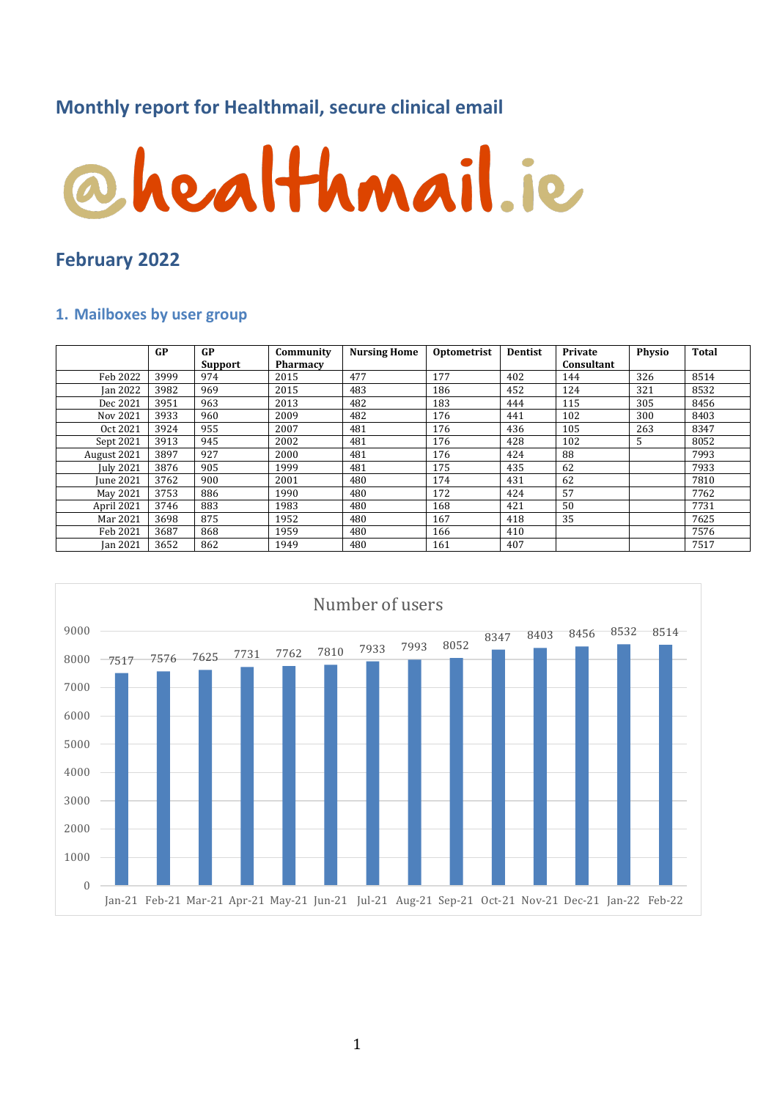# **Monthly report for Healthmail, secure clinical email**



### **February 2022**

#### **1. Mailboxes by user group**

|                  | GP   | <b>GP</b> | Community       | <b>Nursing Home</b> | Optometrist | <b>Dentist</b> | Private<br>Consultant | <b>Physio</b> | <b>Total</b> |
|------------------|------|-----------|-----------------|---------------------|-------------|----------------|-----------------------|---------------|--------------|
|                  |      | Support   | <b>Pharmacy</b> |                     |             |                |                       |               |              |
| Feb 2022         | 3999 | 974       | 2015            | 477                 | 177         | 402            | 144                   | 326           | 8514         |
| <b>Ian 2022</b>  | 3982 | 969       | 2015            | 483                 | 186         | 452            | 124                   | 321           | 8532         |
| Dec 2021         | 3951 | 963       | 2013            | 482                 | 183         | 444            | 115                   | 305           | 8456         |
| Nov 2021         | 3933 | 960       | 2009            | 482                 | 176         | 441            | 102                   | 300           | 8403         |
| Oct 2021         | 3924 | 955       | 2007            | 481                 | 176         | 436            | 105                   | 263           | 8347         |
| Sept 2021        | 3913 | 945       | 2002            | 481                 | 176         | 428            | 102                   | 5             | 8052         |
| August 2021      | 3897 | 927       | 2000            | 481                 | 176         | 424            | 88                    |               | 7993         |
| <b>July 2021</b> | 3876 | 905       | 1999            | 481                 | 175         | 435            | 62                    |               | 7933         |
| <b>June 2021</b> | 3762 | 900       | 2001            | 480                 | 174         | 431            | 62                    |               | 7810         |
| May 2021         | 3753 | 886       | 1990            | 480                 | 172         | 424            | 57                    |               | 7762         |
| April 2021       | 3746 | 883       | 1983            | 480                 | 168         | 421            | 50                    |               | 7731         |
| Mar 2021         | 3698 | 875       | 1952            | 480                 | 167         | 418            | 35                    |               | 7625         |
| Feb 2021         | 3687 | 868       | 1959            | 480                 | 166         | 410            |                       |               | 7576         |
| <b>Jan 2021</b>  | 3652 | 862       | 1949            | 480                 | 161         | 407            |                       |               | 7517         |

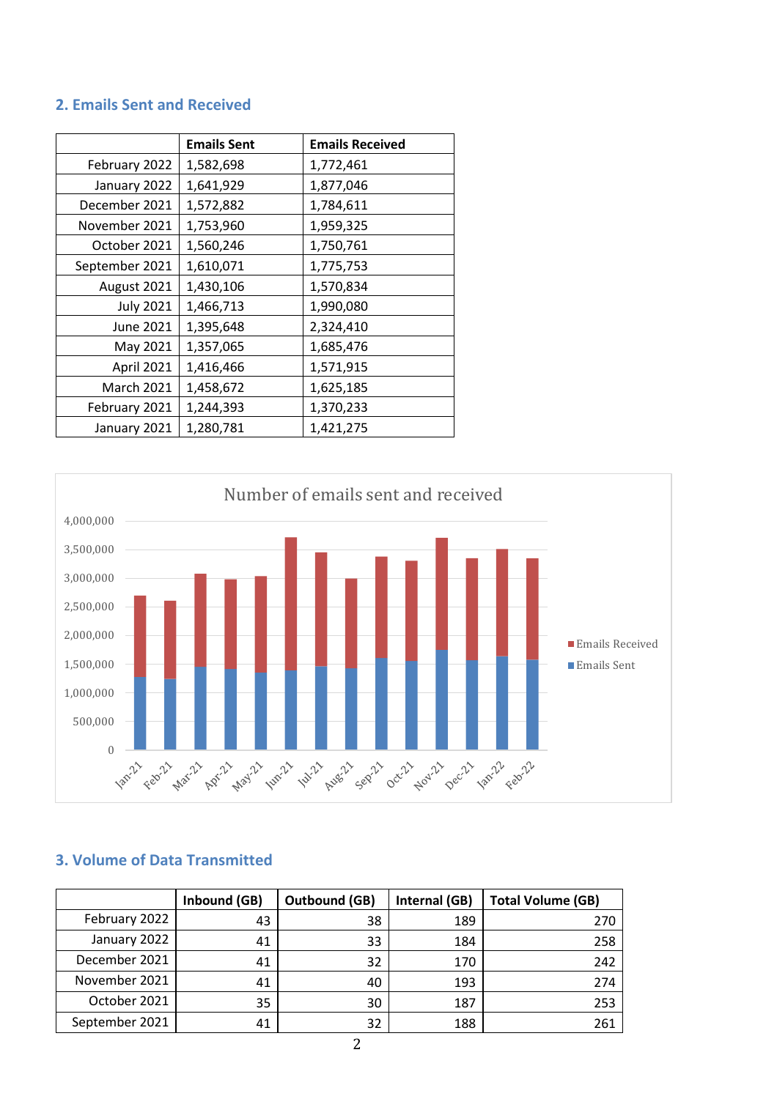### **2. Emails Sent and Received**

|                   | <b>Emails Sent</b> | <b>Emails Received</b> |  |
|-------------------|--------------------|------------------------|--|
| February 2022     | 1,582,698          | 1,772,461              |  |
| January 2022      | 1,641,929          | 1,877,046              |  |
| December 2021     | 1,572,882          | 1,784,611              |  |
| November 2021     | 1,753,960          | 1,959,325              |  |
| October 2021      | 1,560,246          | 1,750,761              |  |
| September 2021    | 1,610,071          | 1,775,753              |  |
| August 2021       | 1,430,106          | 1,570,834              |  |
| <b>July 2021</b>  | 1,466,713          | 1,990,080              |  |
| June 2021         | 1,395,648          | 2,324,410              |  |
| May 2021          | 1,357,065          | 1,685,476              |  |
| April 2021        | 1,416,466          | 1,571,915              |  |
| <b>March 2021</b> | 1,458,672          | 1,625,185              |  |
| February 2021     | 1,244,393          | 1,370,233              |  |
| January 2021      | 1,280,781          | 1,421,275              |  |



### **3. Volume of Data Transmitted**

|                | Inbound (GB) | <b>Outbound (GB)</b> | Internal (GB) | <b>Total Volume (GB)</b> |
|----------------|--------------|----------------------|---------------|--------------------------|
| February 2022  | 43           | 38                   | 189           | 270                      |
| January 2022   | 41           | 33                   | 184           | 258                      |
| December 2021  | 41           | 32                   | 170           | 242                      |
| November 2021  | 41           | 40                   | 193           | 274                      |
| October 2021   | 35           | 30                   | 187           | 253                      |
| September 2021 | 41           | 32                   | 188           | 261                      |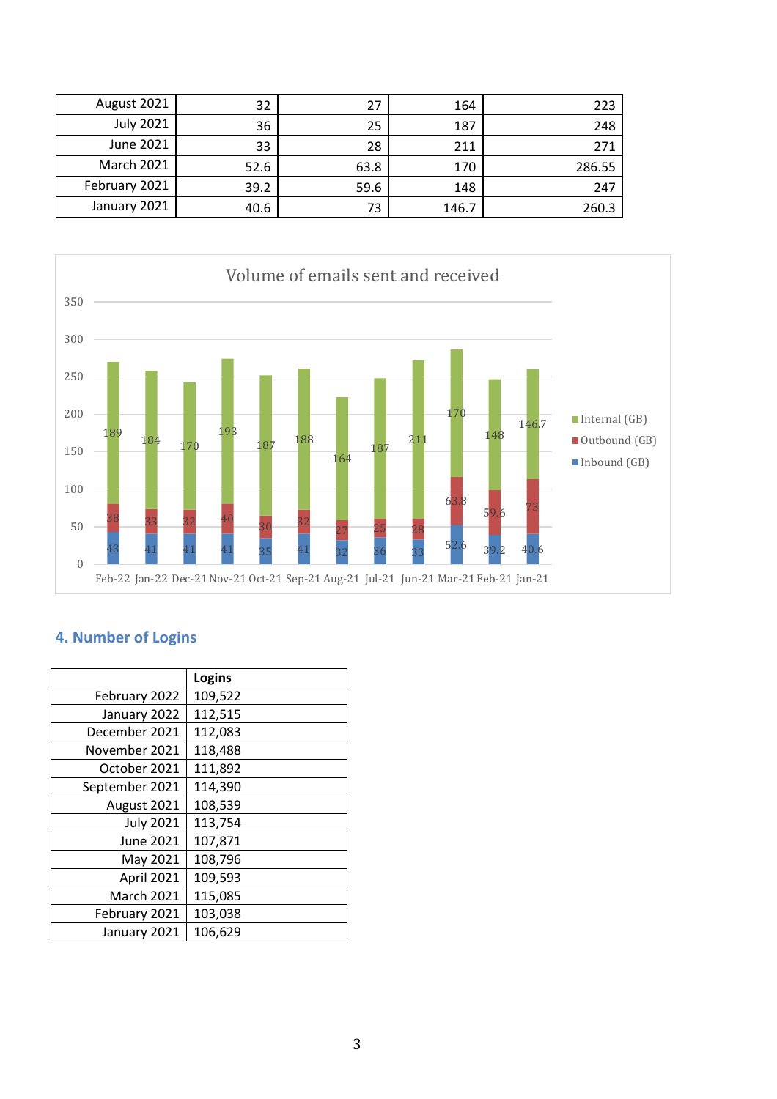| August 2021       | 32   | 27   | 164   | 223    |
|-------------------|------|------|-------|--------|
| <b>July 2021</b>  | 36   | 25   | 187   | 248    |
| June 2021         | 33   | 28   | 211   | 271    |
| <b>March 2021</b> | 52.6 | 63.8 | 170   | 286.55 |
| February 2021     | 39.2 | 59.6 | 148   | 247    |
| January 2021      | 40.6 | 73   | 146.7 | 260.3  |



## **4. Number of Logins**

|                   | Logins  |
|-------------------|---------|
| February 2022     | 109,522 |
| January 2022      | 112,515 |
| December 2021     | 112,083 |
| November 2021     | 118,488 |
| October 2021      | 111,892 |
| September 2021    | 114,390 |
| August 2021       | 108,539 |
| <b>July 2021</b>  | 113,754 |
| <b>June 2021</b>  | 107,871 |
| May 2021          | 108,796 |
| April 2021        | 109,593 |
| <b>March 2021</b> | 115,085 |
| February 2021     | 103,038 |
| January 2021      | 106,629 |
|                   |         |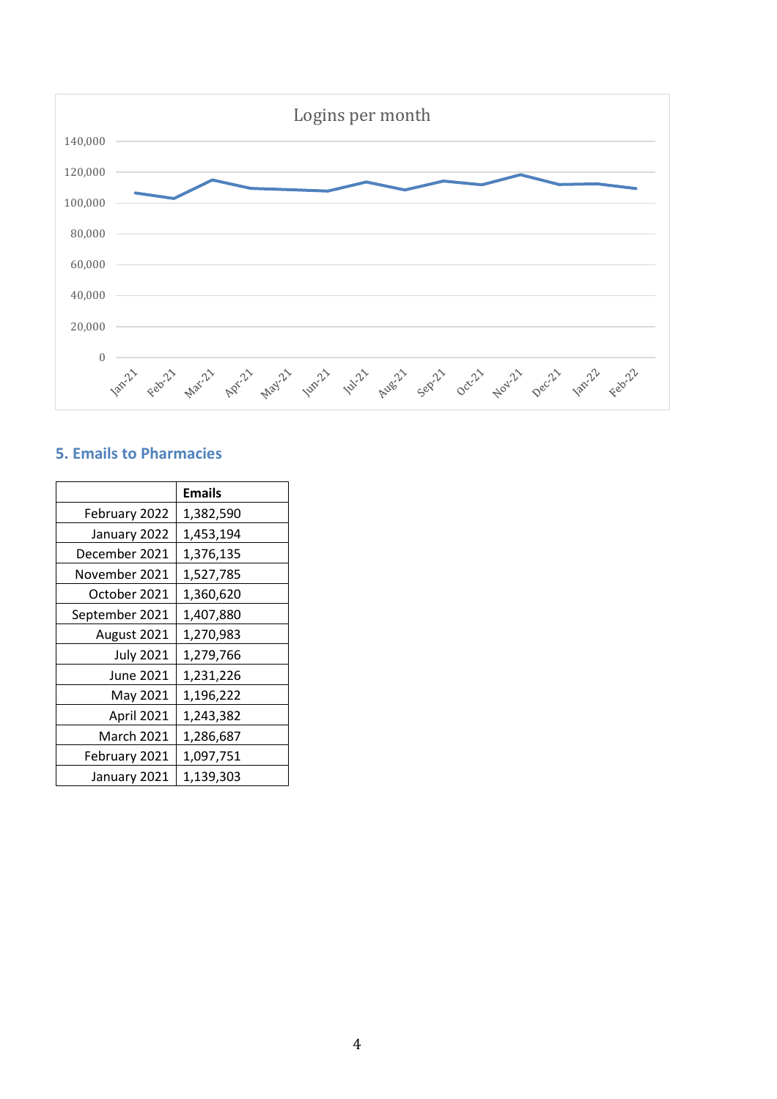

### **5. Emails to Pharmacies**

|                  | <b>Emails</b> |
|------------------|---------------|
| February 2022    | 1,382,590     |
| January 2022     | 1,453,194     |
| December 2021    | 1,376,135     |
| November 2021    | 1,527,785     |
| October 2021     | 1,360,620     |
| September 2021   | 1,407,880     |
| August 2021      | 1,270,983     |
| <b>July 2021</b> | 1,279,766     |
| June 2021        | 1,231,226     |
| May 2021         | 1,196,222     |
| April 2021       | 1,243,382     |
| March 2021       | 1,286,687     |
| February 2021    | 1,097,751     |
| January 2021     | 1,139,303     |